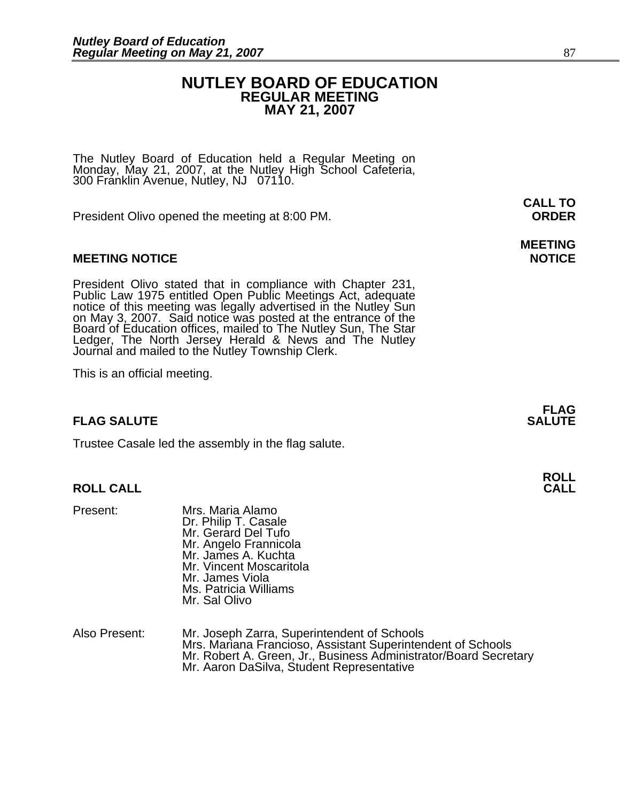# **NUTLEY BOARD OF EDUCATION REGULAR MEETING MAY 21, 2007**

The Nutley Board of Education held a Regular Meeting on Monday, May 21, 2007, at the Nutley High School Cafeteria, 300 Franklin Avenue, Nutley, NJ 07110.

President Olivo opened the meeting at 8:00 PM. **ORDER**

# **MEETING NOTICE NOTICE AND RESERVE ASSESS**

President Olivo stated that in compliance with Chapter 231, Public Law 1975 entitled Open Public Meetings Act, adequate notice of this meeting was legally advertised in the Nutley Sun on May 3, 2007. Said notice was posted Board of Education offices, mailed to The Nutley Sun, The Star<br>Ledger, The North Jersey Herald & News and The Nutley Journal and mailed to the Nutley Township Clerk.

This is an official meeting.

# **FLAG SALUTE** SALUTE SALUTE SALUTE SALUTE SALUTE

Trustee Casale led the assembly in the flag salute.

# **ROLL CALL**

- Present: Mrs. Maria Alamo Dr. Philip T. Casale Mr. Gerard Del Tufo Mr. Angelo Frannicola Mr. James A. Kuchta Mr. Vincent Moscaritola Mr. James Viola Ms. Patricia Williams Mr. Sal Olivo
- Also Present: Mr. Joseph Zarra, Superintendent of Schools<br>Mrs. Mariana Francioso, Assistant Superintendent of Schools Mr. Robert A. Green, Jr., Business Administrator/Board Secretary<br>Mr. Aaron DaSilva, Student Representative

# **MEETING**

**FLAG** 

**CALL TO**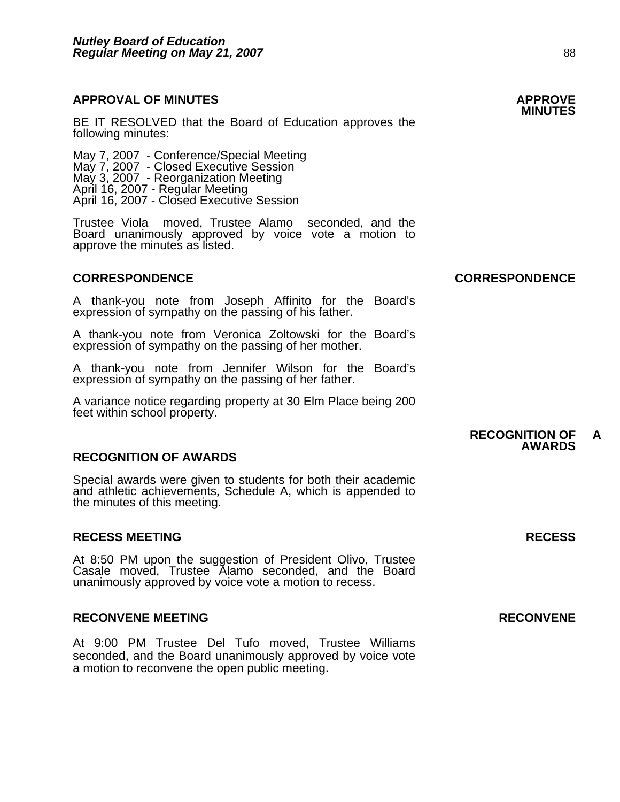# **APPROVAL OF MINUTES APPROVE**

**BE IT RESOLVED that the Board of Education approves the MINUTES**<br>following minutes:<br>May 7, 2007 - Conference/Special Meeting

May 7, 2007 - Closed Executive Session May 3, 2007 - Reorganization Meeting April 16, 2007 - Regular Meeting April 16, 2007 - Closed Executive Session

Trustee Viola moved, Trustee Alamo seconded, and the Board unanimously approved by voice vote a motion to approve the minutes as listed.

A thank-you note from Joseph Affinito for the Board's expression of sympathy on the passing of his father.

A thank-you note from Veronica Zoltowski for the Board's expression of sympathy on the passing of her mother.

A thank-you note from Jennifer Wilson for the Board's expression of sympathy on the passing of her father.

A variance notice regarding property at 30 Elm Place being 200 feet within school property.

# **RECOGNITION OF AWARDS**

Special awards were given to students for both their academic and athletic achievements, Schedule A, which is appended to the minutes of this meeting.

### **RECESS MEETING RECESS**

At 8:50 PM upon the suggestion of President Olivo, Trustee Casale moved, Trustee Alamo seconded, and the Board unanimously approved by voice vote a motion to recess.

### RECONVENE MEETING **RECONVENE**

At 9:00 PM Trustee Del Tufo moved, Trustee Williams seconded, and the Board unanimously approved by voice vote a motion to reconvene the open public meeting.

**CORRESPONDENCE CORRESPONDENCE** 

#### **RECOGNITION OF A AWARDS**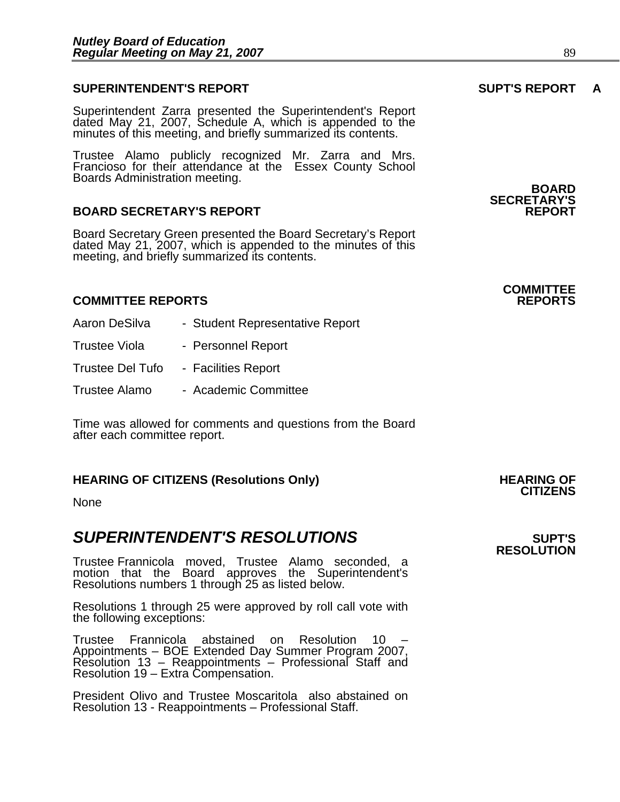# **SUPERINTENDENT'S REPORT SUPT'S REPORT A**

Superintendent Zarra presented the Superintendent's Report dated May 21, 2007, Schedule A, which is appended to the minutes of this meeting, and briefly summarized its contents.

Trustee Alamo publicly recognized Mr. Zarra and Mrs. Francioso for their attendance at the Essex County School<br>Boards Administration meeting.<br>**BOARD** 

# **BOARD SECRETARY'S REPORT**

Board Secretary Green presented the Board Secretary's Report dated May 21, 2007, which is appended to the minutes of this meeting, and briefly summarized its contents.

### **COMMITTEE REPORTS REPORTS**

- Aaron DeSilva Student Representative Report
- Trustee Viola Personnel Report
- Trustee Del Tufo Facilities Report
- Trustee Alamo Academic Committee

Time was allowed for comments and questions from the Board after each committee report.

# **HEARING OF CITIZENS (Resolutions Only) HEARING OF CITIZENS**

None

# **SUPERINTENDENT'S RESOLUTIONS EXAMPLE ASSESSED ASSESSED ASSESSED ASSESSED ASSESSED ASSESSED ASSESSED ASSESSED ASSESSED ASSESSED ASSESSED ASSESSED ASSESSED ASSESSED ASSESSED ASSESSED ASSESSED ASSESSED ASSESSED ASSESSED AS**

Trustee Frannicola moved, Trustee Alamo seconded, a motion that the Board approves the Superintendent's Resolutions numbers 1 through 25 as listed below.

Resolutions 1 through 25 were approved by roll call vote with the following exceptions:

Trustee Frannicola abstained on Resolution 10 – Appointments – BOE Extended Day Summer Program 2007,<br>Resolution 13 – Reappointments – Professional Staff and Resolution 19 – Extra Compensation.

President Olivo and Trustee Moscaritola also abstained on Resolution 13 - Reappointments – Professional Staff.

**SECRETARY'S** 

# **COMMITTEE**

# **RESOLUTION**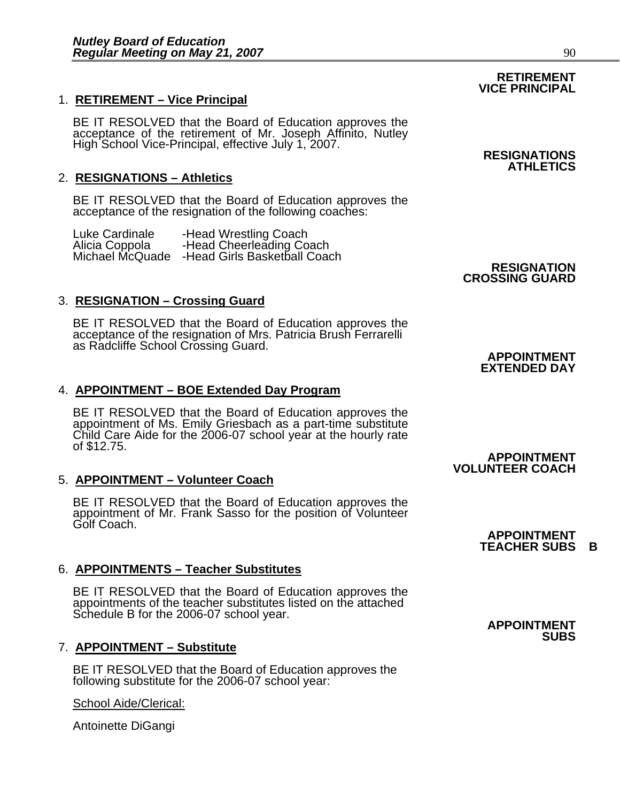# 1. **RETIREMENT – Vice Principal**

BE IT RESOLVED that the Board of Education approves the acceptance of the retirement of Mr. Joseph Affinito, Nutley High School Vice-Principal, effective July 1, 2007. **RESIGNATIONS** 

# 2. **RESIGNATIONS – Athletics**

BE IT RESOLVED that the Board of Education approves the acceptance of the resignation of the following coaches:

| Luke Cardinale  | -Head Wrestling Coach        |
|-----------------|------------------------------|
| Alicia Coppola  | -Head Cheerleading Coach     |
| Michael McQuade | -Head Girls Basketball Coach |

# 3. **RESIGNATION – Crossing Guard**

BE IT RESOLVED that the Board of Education approves the acceptance of the resignation of Mrs. Patricia Brush Ferrarelli as Radcliffe School Crossing Guard. **APPOINTMENT APPOINTMENT** 

# 4. **APPOINTMENT – BOE Extended Day Program**

BE IT RESOLVED that the Board of Education approves the appointment of Ms. Emily Griesbach as a part-time substitute Child Care Aide for the 2006-07 school year at the hourly rate of \$12.75.

# 5. **APPOINTMENT – Volunteer Coach**

BE IT RESOLVED that the Board of Education approves the appointment of Mr. Frank Sasso for the position of Volunteer Golf Coach.

# 6. **APPOINTMENTS – Teacher Substitutes**

BE IT RESOLVED that the Board of Education approves the appointments of the teacher substitutes listed on the attached Schedule B for the 2006-07 school year.<br>**APPOINTMENT** 

# 7. **APPOINTMENT – Substitute**

BE IT RESOLVED that the Board of Education approves the following substitute for the 2006-07 school year:

# School Aide/Clerical:

Antoinette DiGangi

**ATHLETICS** 

**RESIGNATION CROSSING GUARD** 

# **EXTENDED DAY**

#### **APPOINTMENT VOLUNTEER COACH**

# **SUBS**

**APPOINTMENT TEACHER SUBS B** 

### **RETIREMENT VICE PRINCIPAL**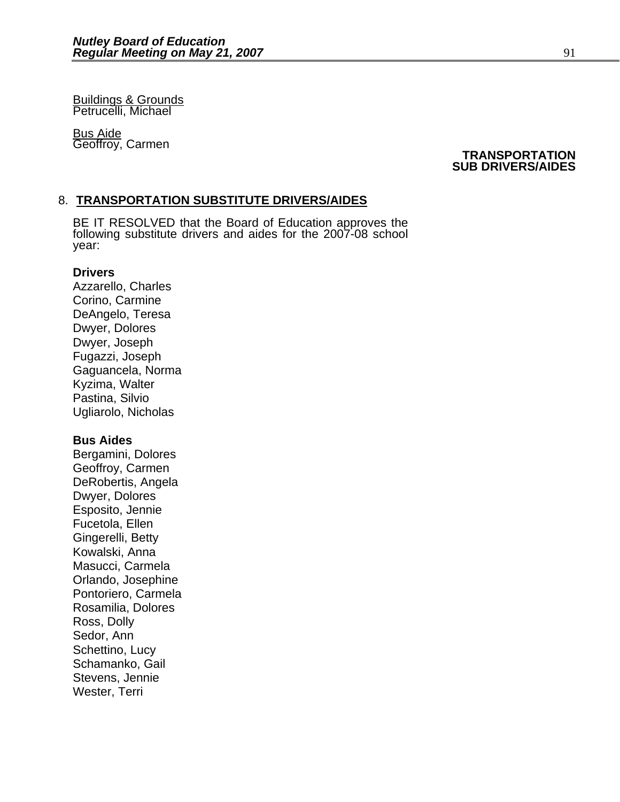Buildings & Grounds Petrucelli, Michael

**Bus Aide** 

# Geoffroy, Carmen **TRANSPORTATION SUB DRIVERS/AIDES**

# 8. **TRANSPORTATION SUBSTITUTE DRIVERS/AIDES**

BE IT RESOLVED that the Board of Education approves the following substitute drivers and aides for the 2007-08 school year:

### **Drivers**

Azzarello, Charles Corino, Carmine DeAngelo, Teresa Dwyer, Dolores Dwyer, Joseph Fugazzi, Joseph Gaguancela, Norma Kyzima, Walter Pastina, Silvio Ugliarolo, Nicholas

# **Bus Aides**

Bergamini, Dolores Geoffroy, Carmen DeRobertis, Angela Dwyer, Dolores Esposito, Jennie Fucetola, Ellen Gingerelli, Betty Kowalski, Anna Masucci, Carmela Orlando, Josephine Pontoriero, Carmela Rosamilia, Dolores Ross, Dolly Sedor, Ann Schettino, Lucy Schamanko, Gail Stevens, Jennie Wester, Terri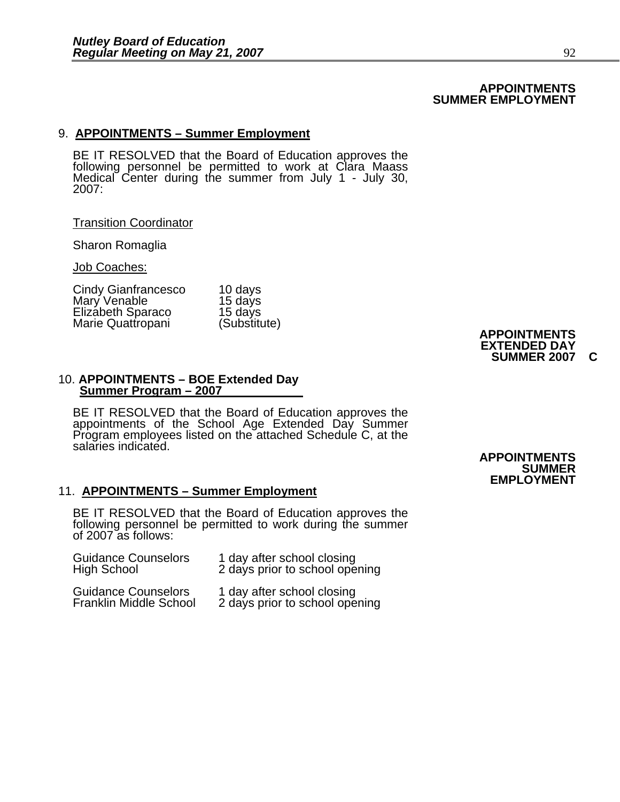### **APPOINTMENTS SUMMER EMPLOYMENT**

# 9. **APPOINTMENTS – Summer Employment**

BE IT RESOLVED that the Board of Education approves the<br>following personnel be permitted to work at Clara Maass Medical Center during the summer from July 1 - July 30, 2007:

#### Transition Coordinator

Sharon Romaglia

Job Coaches:

| Cindy Gianfrancesco | 10 days      |                     |
|---------------------|--------------|---------------------|
| Mary Venable        | 15 days      |                     |
| Elizabeth Sparaco   | 15 days      |                     |
| Marie Quattropani   | (Substitute) |                     |
|                     |              | <b>APPOINTMENTS</b> |

#### 10. **APPOINTMENTS – BOE Extended Day Summer Program – 2007**

BE IT RESOLVED that the Board of Education approves the appointments of the School Age Extended Day Summer Program employees listed on the attached Schedule C, at the salaries indicated.

#### 11. **APPOINTMENTS – Summer Employment**

BE IT RESOLVED that the Board of Education approves the following personnel be permitted to work during the summer of 2007 as follows:

| <b>Guidance Counselors</b>                                  | 1 day after school closing                                   |
|-------------------------------------------------------------|--------------------------------------------------------------|
| <b>High School</b>                                          | 2 days prior to school opening                               |
| <b>Guidance Counselors</b><br><b>Franklin Middle School</b> | 1 day after school closing<br>2 days prior to school opening |

**EXTENDED DAY SUMMER 2007 C** 

#### **APPOINTMENTS SUMMER EMPLOYMENT**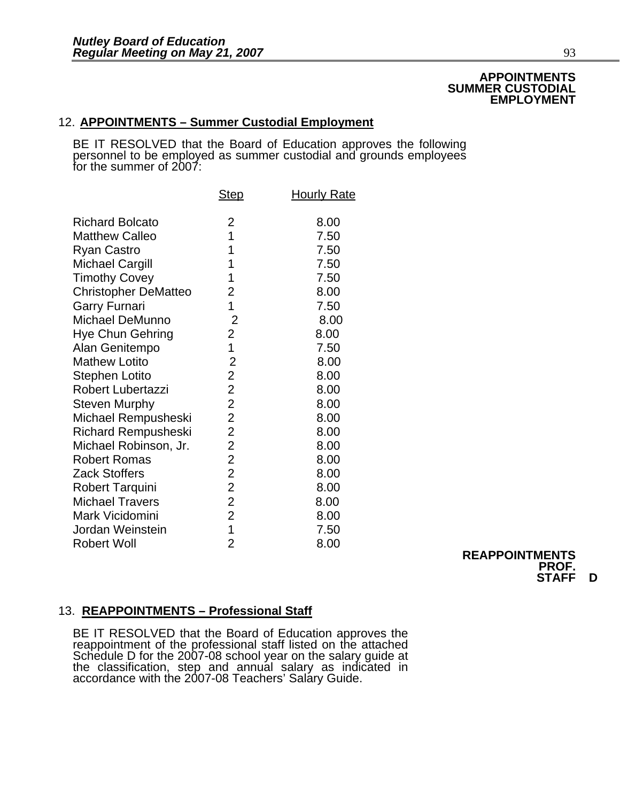### **APPOINTMENTS SUMMER CUSTODIAL EMPLOYMENT**

# 12. **APPOINTMENTS – Summer Custodial Employment**

BE IT RESOLVED that the Board of Education approves the following<br>personnel to be employed as summer custodial and grounds employees for the summer of 2007:

| <b>Step</b>    | <b>Hourly Rate</b>                                                                                                                                                                         |
|----------------|--------------------------------------------------------------------------------------------------------------------------------------------------------------------------------------------|
|                |                                                                                                                                                                                            |
| 2              | 8.00                                                                                                                                                                                       |
| 1              | 7.50                                                                                                                                                                                       |
| 1              | 7.50                                                                                                                                                                                       |
| 1              | 7.50                                                                                                                                                                                       |
| 1              | 7.50                                                                                                                                                                                       |
| 2              | 8.00                                                                                                                                                                                       |
|                | 7.50                                                                                                                                                                                       |
| $\overline{2}$ | 8.00                                                                                                                                                                                       |
| $\overline{c}$ | 8.00                                                                                                                                                                                       |
|                | 7.50                                                                                                                                                                                       |
|                | 8.00                                                                                                                                                                                       |
| $\overline{2}$ | 8.00                                                                                                                                                                                       |
| $\overline{2}$ | 8.00                                                                                                                                                                                       |
|                | 8.00                                                                                                                                                                                       |
|                | 8.00                                                                                                                                                                                       |
| $\overline{2}$ | 8.00                                                                                                                                                                                       |
|                | 8.00                                                                                                                                                                                       |
|                | 8.00                                                                                                                                                                                       |
|                | 8.00                                                                                                                                                                                       |
|                | 8.00                                                                                                                                                                                       |
|                | 8.00                                                                                                                                                                                       |
|                | 8.00                                                                                                                                                                                       |
|                | 7.50                                                                                                                                                                                       |
| $\overline{2}$ | 8.00                                                                                                                                                                                       |
|                | 1<br>1<br>$\overline{2}$<br>$\overline{c}$<br>$\overline{2}$<br>$\overline{2}$<br>$\overline{2}$<br>$\overline{2}$<br>$\overline{2}$<br>$\overline{2}$<br>$\overline{2}$<br>$\overline{1}$ |

**REAPPOINTMENTS PROF. STAFF D** 

# 13. **REAPPOINTMENTS – Professional Staff**

BE IT RESOLVED that the Board of Education approves the reappointment of the professional staff listed on the attached Schedule D for the 2007-08 school year on the salary guide at<br>the classification, step and annual salary as indicated in<br>accordance with the 2007-08 Teachers' Salary Guide.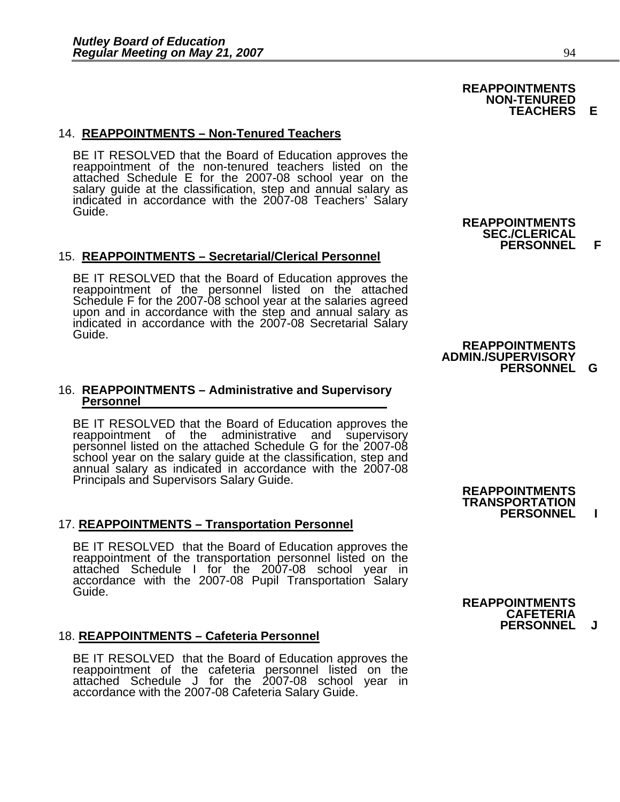# 14. **REAPPOINTMENTS – Non-Tenured Teachers**

BE IT RESOLVED that the Board of Education approves the reappointment of the non-tenured teachers listed on the attached Schedule E for the 2007-08 school year on the salary guide at the classification, step and annual salary as indicated in accordance with the 2007-08 Teachers' Salary Guide.

#### 15. **REAPPOINTMENTS – Secretarial/Clerical Personnel**

BE IT RESOLVED that the Board of Education approves the reappointment of the personnel listed on the attached Schedule F for the 2007-08 school year at the salaries agreed upon and in accordance with the step and annual salary as indicated in accordance with the 2007-08 Secretarial Salary Guide.

# 16. **REAPPOINTMENTS – Administrative and Supervisory Personnel**

BE IT RESOLVED that the Board of Education approves the reappointment of the administrative and supervisory personnel listed on the attached Schedule G for the 2007-08 school year on the salary guide at the classification, .<br>school year on the salary guide at the classification, step and<br>annual salary as indicated in accordance with the 2007-08 Principals and Supervisors Salary Guide.<br>
REAPPOINTMENTS

#### 17. **REAPPOINTMENTS – Transportation Personnel**

BE IT RESOLVED that the Board of Education approves the reappointment of the transportation personnel listed on the attached Schedule I for the 2007-08 school year in accordance with the 2007-08 Pupil Transportation Salary

#### 18. **REAPPOINTMENTS – Cafeteria Personnel**

BE IT RESOLVED that the Board of Education approves the reappointment of the cafeteria personnel listed on the attached Schedule J for the 2007-08 school year in accordance with the 2007-08 Cafeteria Salary Guide.

 **REAPPOINTMENTS SEC./CLERICAL PERSONNEL F** 

**REAPPOINTMENTS NON-TENURED** 

#### **REAPPOINTMENTS ADMIN./SUPERVISORY PERSONNEL G**

 **TRANSPORTATION PERSONNEL I** 

 **REAPPOINTMENTS CAFETERIA PERSONNEL J**

**TEACHERS E**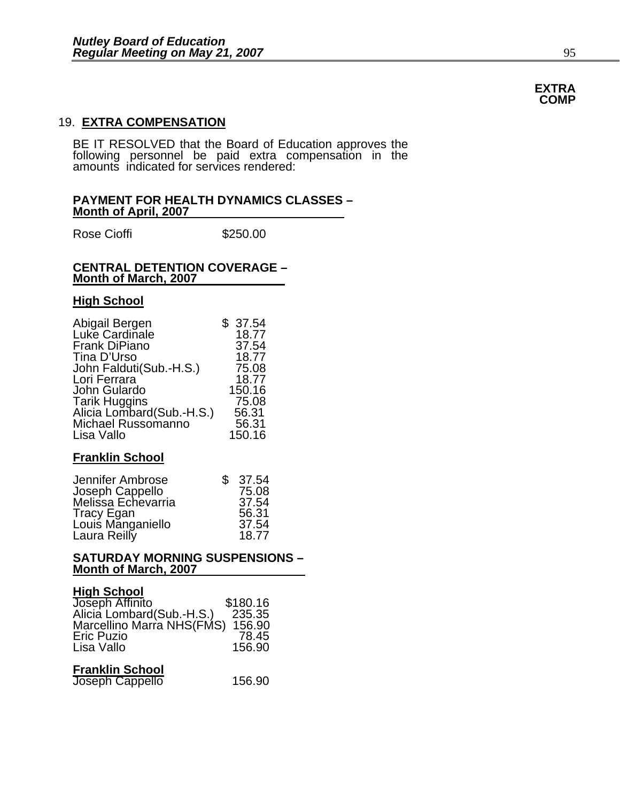# 19. **EXTRA COMPENSATION**

BE IT RESOLVED that the Board of Education approves the following personnel be paid extra compensation in the amounts indicated for services rendered:

#### **PAYMENT FOR HEALTH DYNAMICS CLASSES – Month of April, 2007**

Rose Cioffi **\$250.00** 

#### **CENTRAL DETENTION COVERAGE – Month of March, 2007**

#### **High School**

| Abigail Bergen                                  | \$37.54 |
|-------------------------------------------------|---------|
| Luke Cardinale                                  | 18.77   |
| <b>Frank DiPiano</b>                            | 37.54   |
| Tina D'Urso                                     | 18.77   |
| John Falduti(Sub.-H.S.)                         | 75.08   |
| Lori Ferrara                                    | 18.77   |
| John Gulardo                                    | 150.16  |
| <b>Tarik Huggins</b>                            | 75.08   |
| Alicia Lombard(Sub.-H.S.)<br>Michael Russomanno | 56.31   |
|                                                 | 56.31   |
| Lisa Vallo                                      | 150.16  |

# **Franklin School**

| Jennifer Ambrose                | \$37.54 |
|---------------------------------|---------|
| Joseph Cappello                 | 75.08   |
| Melissa Echevarria              | 37.54   |
|                                 | 56.31   |
| Tracy Egan<br>Louis Manganiello | 37.54   |
| Laura Reilly                    | 18.77   |

### **SATURDAY MORNING SUSPENSIONS – Month of March, 2007**

# **High School**

| Joseph Affinito            | \$180.16 |
|----------------------------|----------|
| Alicia Lombard (Sub.-H.S.) | 235.35   |
| Marcellino Marra NHS(FMS)  | 156.90   |
| <b>Eric Puzio</b>          | 78.45    |
| Lisa Vallo                 | 156.90   |
|                            |          |

# **Franklin School**

### **EXTRA COMP**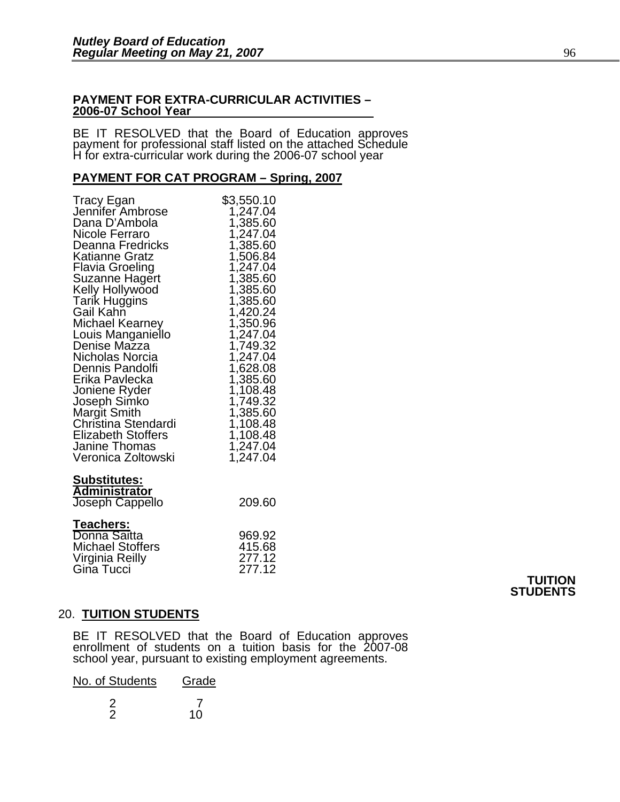### **PAYMENT FOR EXTRA-CURRICULAR ACTIVITIES – 2006-07 School Year**

BE IT RESOLVED that the Board of Education approves payment for professional staff listed on the attached Schedule H for extra-curricular work during the 2006-07 school year

# **PAYMENT FOR CAT PROGRAM – Spring, 2007**

| <b>Tracy Egan</b><br>Jennifer Ambrose<br>Dana D'Ambola<br>Nicole Ferraro<br>Deanna Fredricks<br>Katianne Gratz<br>Flavia Groeling<br>Suzanne Hagert<br>Kelly Hollywood<br>Tarik Huggins<br>Gail Kahñ<br>Michael Kearney<br>Louis Manganiello<br>Denise Mazza<br>Nicholas Norcia<br>Dennis Pandolfi<br>Erika Pavlecka<br>Joniene Ryder<br>Joseph Simko<br>Margit Smith<br>Christina Stendardi<br><b>Elizabeth Stoffers</b><br>Janine Thomas<br>Veronica Zoltowski | \$3,550.10<br>1,247.04<br>1,385.60<br>1,247.04<br>1,385.60<br>1,506.84<br>1,247.04<br>1,385.60<br>1,385.60<br>1,385.60<br>1,420.24<br>1,350.96<br>1,247.04<br>1,749.32<br>1,247.04<br>1,628.08<br>1,385.60<br>1,108.48<br>1,749.32<br>1,385.60<br>1,108.48<br>1,108.48<br>1,247.04<br>1,247.04 |
|------------------------------------------------------------------------------------------------------------------------------------------------------------------------------------------------------------------------------------------------------------------------------------------------------------------------------------------------------------------------------------------------------------------------------------------------------------------|------------------------------------------------------------------------------------------------------------------------------------------------------------------------------------------------------------------------------------------------------------------------------------------------|
| <u>Substitutes:</u><br><b>Administrator</b><br>Joseph Cappello                                                                                                                                                                                                                                                                                                                                                                                                   | 209.60                                                                                                                                                                                                                                                                                         |
| <b>Teachers:</b><br>Donna Saitta<br><b>Michael Stoffers</b><br>Virginia Reilly<br>Gina Tucci                                                                                                                                                                                                                                                                                                                                                                     | 969.92<br>415.68<br>277.12<br>277.12                                                                                                                                                                                                                                                           |

# **TUITION STUDENTS**

# 20. **TUITION STUDENTS**

BE IT RESOLVED that the Board of Education approves enrollment of students on a tuition basis for the 2007-08 school year, pursuant to existing employment agreements.

| No. of Students | Grade |
|-----------------|-------|
|                 | 10    |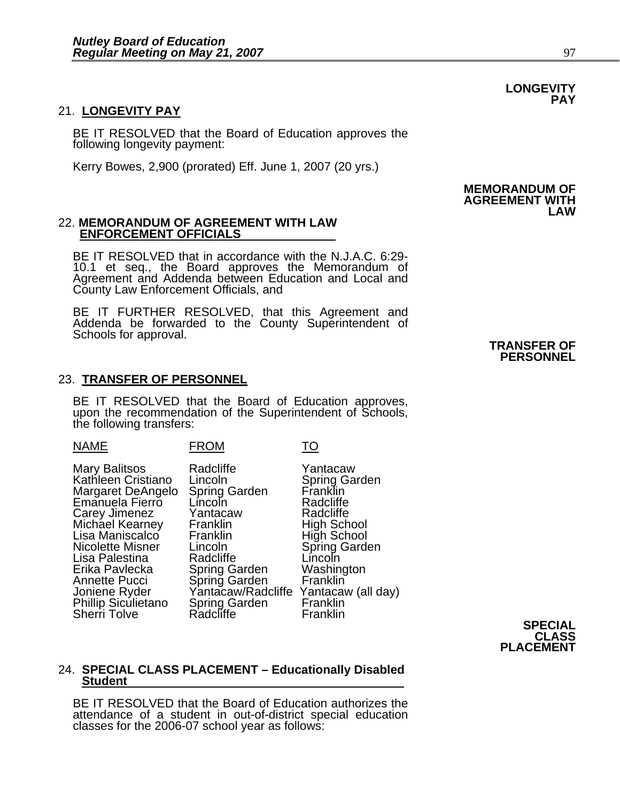### 21. **LONGEVITY PAY**

BE IT RESOLVED that the Board of Education approves the following longevity payment:

Kerry Bowes, 2,900 (prorated) Eff. June 1, 2007 (20 yrs.)

#### 22. **MEMORANDUM OF AGREEMENT WITH LAW ENFORCEMENT OFFICIALS**

BE IT RESOLVED that in accordance with the N.J.A.C. 6:29- 10.1 et seq., the Board approves the Memorandum of Agreement and Addenda between Education and Local and County Law Enforcement Officials, and

BE IT FURTHER RESOLVED, that this Agreement and Addenda be forwarded to the County Superintendent of Schools for approval. **TRANSFER OF TRANSFER OF** 

#### 23. **TRANSFER OF PERSONNEL**

BE IT RESOLVED that the Board of Education approves, upon the recommendation of the Superintendent of Schools, the following transfers:

| <b>NAME</b>                                                                                                                                                                                                                                                                       | <b>FROM</b>                                                                                                                                                                                                                         | TO                                                                                                                                                                                 |
|-----------------------------------------------------------------------------------------------------------------------------------------------------------------------------------------------------------------------------------------------------------------------------------|-------------------------------------------------------------------------------------------------------------------------------------------------------------------------------------------------------------------------------------|------------------------------------------------------------------------------------------------------------------------------------------------------------------------------------|
| Mary Balitsos<br>Kathleen Cristiano<br>Margaret DeAngelo<br>Emanuela Fierro<br>Carey Jimenez<br>Michael Kearney<br>Lisa Maniscalco<br>Nicolette Misner<br>Lisa Palestina<br>Erika Pavlecka<br>Annette Pucci<br>Joniene Ryder<br><b>Phillip Siculietano</b><br><b>Sherri Tolve</b> | Radcliffe<br>Lincoln<br><b>Spring Garden</b><br>Líncoln<br>Yantacaw<br>Franklin<br>Franklin<br>Lincoln<br>Radcliffe<br><b>Spring Garden</b><br>Spring Garden<br>Yantacaw/Radcliffe Yantacaw (all day)<br>Spring Garden<br>Radcliffe | Yantacaw<br><b>Spring Garden</b><br>Franklin<br>Radcliffe<br>Radcliffe<br>High School<br>High School<br>Spring Garden<br>Lincoln<br>Washington<br>Franklin<br>Franklin<br>Franklin |

**SPECIAL CLASS PLACEMENT**

# 24. **SPECIAL CLASS PLACEMENT – Educationally Disabled Student**

BE IT RESOLVED that the Board of Education authorizes the attendance of a student in out-of-district special education classes for the 2006-07 school year as follows:

#### **MEMORANDUM OF AGREEMENT WITH LAW**

# **PERSONNEL**

**PAY**

**LONGEVITY**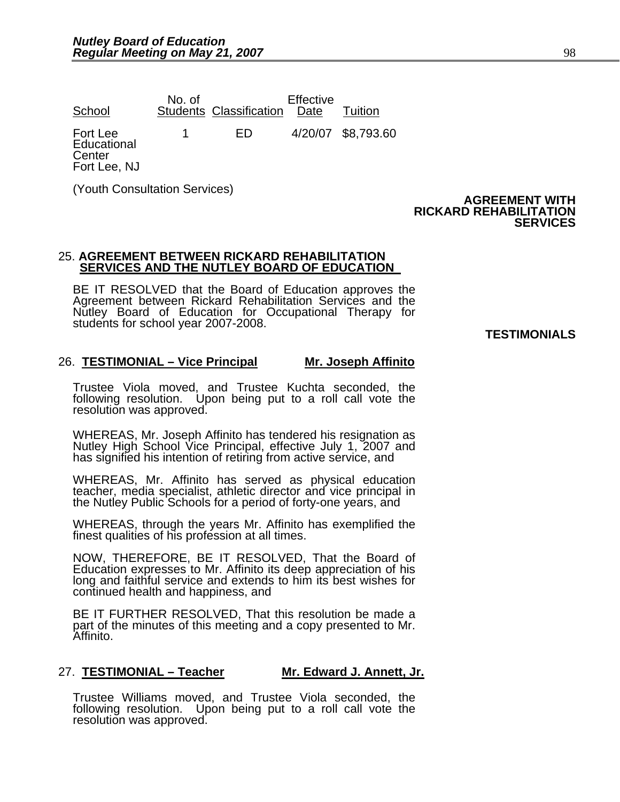| School                                            | No. of | <b>Students Classification</b> | Effective<br>Date | Tuition            |
|---------------------------------------------------|--------|--------------------------------|-------------------|--------------------|
| Fort Lee<br>Educational<br>Center<br>Fort Lee, NJ |        | ED                             |                   | 4/20/07 \$8,793.60 |

(Youth Consultation Services)

#### **AGREEMENT WITH RICKARD REHABILITATION SERVICES**

#### 25. **AGREEMENT BETWEEN RICKARD REHABILITATION SERVICES AND THE NUTLEY BOARD OF EDUCATION**

BE IT RESOLVED that the Board of Education approves the Agreement between Rickard Rehabilitation Services and the Nutley Board of Education for Occupational Therapy for students for school year 2007-2008. **TESTIMONIALS** 

# 26. **TESTIMONIAL – Vice Principal Mr. Joseph Affinito**

Trustee Viola moved, and Trustee Kuchta seconded, the following resolution. Upon being put to a roll call vote the resolution was approved.

WHEREAS, Mr. Joseph Affinito has tendered his resignation as Nutley High School Vice Principal, effective July 1, 2007 and has signified his intention of retiring from active service, and

WHEREAS, Mr. Affinito has served as physical education teacher, media specialist, athletic director and vice principal in the Nutley Public Schools for a period of forty-one years, and

WHEREAS, through the years Mr. Affinito has exemplified the finest qualities of his profession at all times.

NOW, THEREFORE, BE IT RESOLVED, That the Board of Education expresses to Mr. Affinito its deep appreciation of his long and faithful service and extends to him its best wishes for continued health and happiness, and

BE IT FURTHER RESOLVED, That this resolution be made a part of the minutes of this meeting and a copy presented to Mr. Affinito.

# 27. **TESTIMONIAL – Teacher Mr. Edward J. Annett, Jr.**

Trustee Williams moved, and Trustee Viola seconded, the following resolution. Upon being put to a roll call vote the resolution was approved.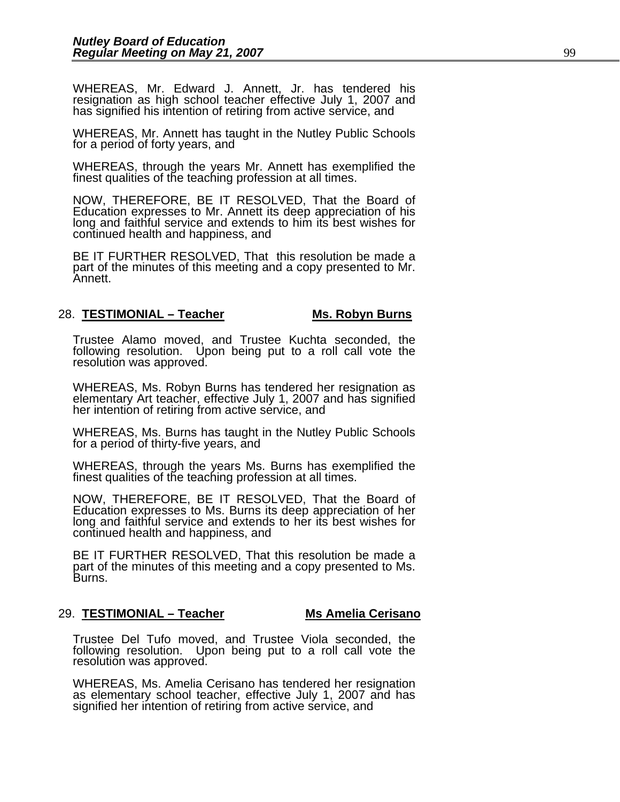WHEREAS, Mr. Edward J. Annett, Jr. has tendered his resignation as high school teacher effective July 1, 2007 and has signified his intention of retiring from active service, and

WHEREAS, Mr. Annett has taught in the Nutley Public Schools for a period of forty years, and

WHEREAS, through the years Mr. Annett has exemplified the finest qualities of the teaching profession at all times.

NOW, THEREFORE, BE IT RESOLVED, That the Board of Education expresses to Mr. Annett its deep appreciation of his long and faithful service and extends to him its best wishes for continued health and happiness, and

BE IT FURTHER RESOLVED, That this resolution be made a part of the minutes of this meeting and a copy presented to Mr. Annett.

#### 28. **TESTIMONIAL – Teacher Mis. Robyn Burns**

Trustee Alamo moved, and Trustee Kuchta seconded, the following resolution. Upon being put to a roll call vote the resolution was approved.

WHEREAS, Ms. Robyn Burns has tendered her resignation as elementary Art teacher, effective July 1, 2007 and has signified her intention of retiring from active service, and

WHEREAS, Ms. Burns has taught in the Nutley Public Schools for a period of thirty-five years, and

WHEREAS, through the years Ms. Burns has exemplified the finest qualities of the teaching profession at all times.

NOW, THEREFORE, BE IT RESOLVED, That the Board of Education expresses to Ms. Burns its deep appreciation of her long and faithful service and extends to her its best wishes for continued health and happiness, and

BE IT FURTHER RESOLVED, That this resolution be made a part of the minutes of this meeting and a copy presented to Ms. Burns.

#### 29. **TESTIMONIAL – Teacher Ms Amelia Cerisano**

Trustee Del Tufo moved, and Trustee Viola seconded, the following resolution. Upon being put to a roll call vote the resolution was approved.

WHEREAS, Ms. Amelia Cerisano has tendered her resignation as elementary school teacher, effective July 1, 2007 and has signified her intention of retiring from active service, and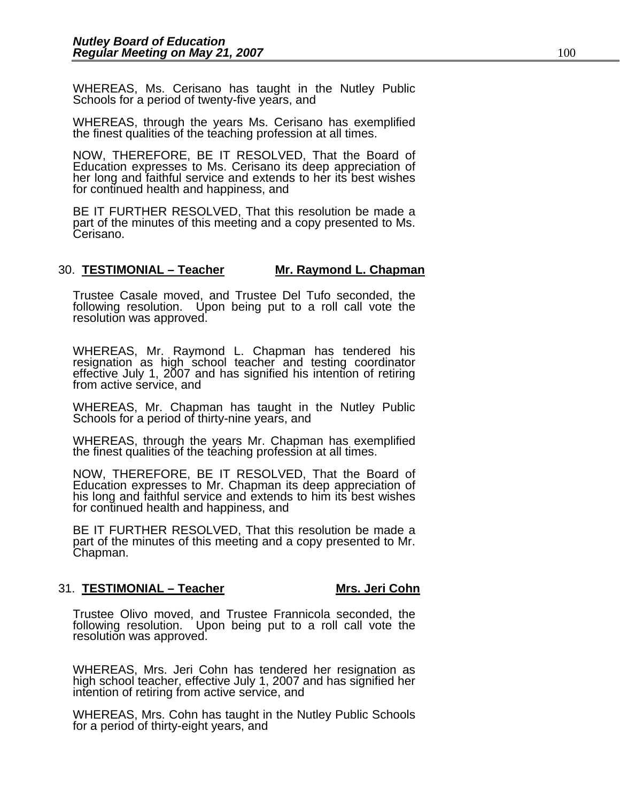WHEREAS, Ms. Cerisano has taught in the Nutley Public Schools for a period of twenty-five years, and

WHEREAS, through the years Ms. Cerisano has exemplified the finest qualities of the teaching profession at all times.

NOW, THEREFORE, BE IT RESOLVED, That the Board of Education expresses to Ms. Cerisano its deep appreciation of her long and faithful service and extends to her its best wishes for continued health and happiness, and

BE IT FURTHER RESOLVED, That this resolution be made a part of the minutes of this meeting and a copy presented to Ms. Cerisano.

#### 30. **TESTIMONIAL – Teacher Mr. Raymond L. Chapman**

Trustee Casale moved, and Trustee Del Tufo seconded, the following resolution. Upon being put to a roll call vote the resolution was approved.

WHEREAS, Mr. Raymond L. Chapman has tendered his resignation as high school teacher and testing coordinator effective July 1, 2007 and has signified his intention of retiring from active service, and

WHEREAS, Mr. Chapman has taught in the Nutley Public Schools for a period of thirty-nine years, and

WHEREAS, through the years Mr. Chapman has exemplified the finest qualities of the teaching profession at all times.

NOW, THEREFORE, BE IT RESOLVED, That the Board of Education expresses to Mr. Chapman its deep appreciation of his long and faithful service and extends to him its best wishes for continued health and happiness, and

BE IT FURTHER RESOLVED, That this resolution be made a part of the minutes of this meeting and a copy presented to Mr. Chapman.

#### 31. **TESTIMONIAL – Teacher Mrs. Jeri Cohn**

Trustee Olivo moved, and Trustee Frannicola seconded, the following resolution. Upon being put to a roll call vote the<br>resolution was approved.

WHEREAS, Mrs. Jeri Cohn has tendered her resignation as<br>high school teacher, effective July 1, 2007 and has signified her<br>intention of retiring from active service, and

WHEREAS, Mrs. Cohn has taught in the Nutley Public Schools for a period of thirty-eight years, and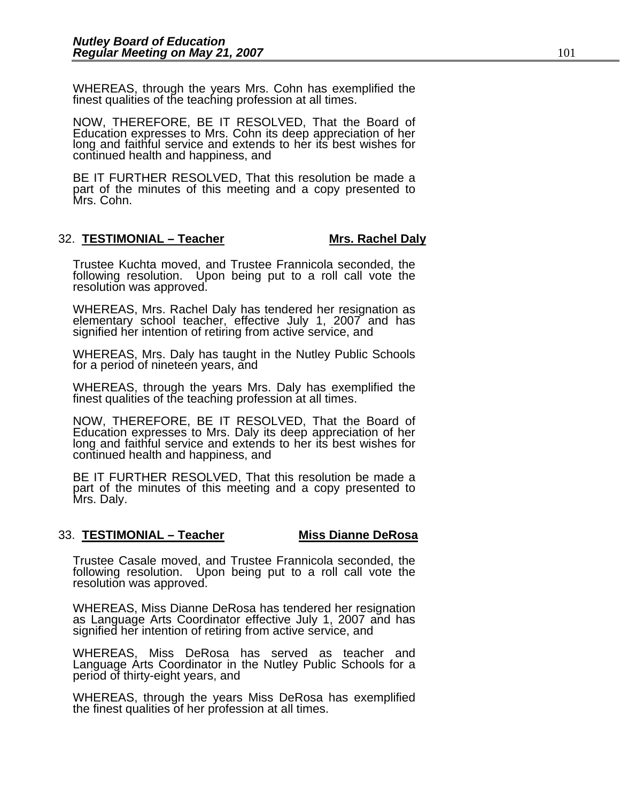WHEREAS, through the years Mrs. Cohn has exemplified the finest qualities of the teaching profession at all times.

NOW, THEREFORE, BE IT RESOLVED, That the Board of Education expresses to Mrs. Cohn its deep appreciation of her long and faithful service and extends to her its best wishes for continued health and happiness, and

BE IT FURTHER RESOLVED, That this resolution be made a part of the minutes of this meeting and a copy presented to Mrs. Cohn.

### 32. **TESTIMONIAL – Teacher Mrs. Rachel Daly**

Trustee Kuchta moved, and Trustee Frannicola seconded, the following resolution. Upon being put to a roll call vote the resolution was approved.

WHEREAS, Mrs. Rachel Daly has tendered her resignation as elementary school teacher, effective July 1, 2007 and has signified her intention of retiring from active service, and

WHEREAS, Mrs. Daly has taught in the Nutley Public Schools for a period of nineteen years, and

WHEREAS, through the years Mrs. Daly has exemplified the finest qualities of the teaching profession at all times.

NOW, THEREFORE, BE IT RESOLVED, That the Board of Education expresses to Mrs. Daly its deep appreciation of her long and faithful service and extends to her its best wishes for continued health and happiness, and

BE IT FURTHER RESOLVED, That this resolution be made a part of the minutes of this meeting and a copy presented to Mrs. Daly.

#### 33. **TESTIMONIAL – Teacher Miss Dianne DeRosa**

Trustee Casale moved, and Trustee Frannicola seconded, the following resolution. Upon being put to a roll call vote the resolution was approved.

WHEREAS, Miss Dianne DeRosa has tendered her resignation<br>as Language Arts Coordinator effective July 1, 2007 and has<br>signified her intention of retiring from active service, and

WHEREAS, Miss DeRosa has served as teacher and Language Arts Coordinator in the Nutley Public Schools for a period of thirty-eight years, and

WHEREAS, through the years Miss DeRosa has exemplified the finest qualities of her profession at all times.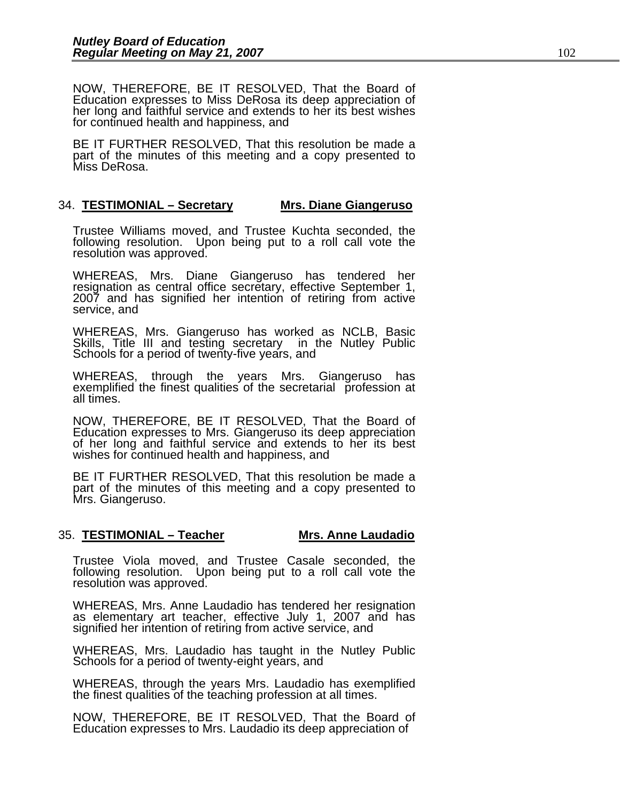NOW, THEREFORE, BE IT RESOLVED, That the Board of Education expresses to Miss DeRosa its deep appreciation of her long and faithful service and extends to her its best wishes for continued health and happiness, and

BE IT FURTHER RESOLVED, That this resolution be made a part of the minutes of this meeting and a copy presented to Miss DeRosa.

### 34. **TESTIMONIAL – Secretary Mrs. Diane Giangeruso**

Trustee Williams moved, and Trustee Kuchta seconded, the following resolution. Upon being put to a roll call vote the resolution was approved.

WHEREAS, Mrs. Diane Giangeruso has tendered her resignation as central office secretary, effective September 1, 2007 and has signified her intention of retiring from active service, and

WHEREAS, Mrs. Giangeruso has worked as NCLB, Basic Skills, Title III and testing secretary in the Nutley Public Schools for a period of twenty-five years, and

WHEREAS, through the years Mrs. Giangeruso has exemplified the finest qualities of the secretarial profession at all times.

NOW, THEREFORE, BE IT RESOLVED, That the Board of Education expresses to Mrs. Giangeruso its deep appreciation of her long and faithful service and extends to her its best wishes for continued health and happiness, and

BE IT FURTHER RESOLVED, That this resolution be made a part of the minutes of this meeting and a copy presented to Mrs. Giangeruso.

# 35. **TESTIMONIAL – Teacher Mrs. Anne Laudadio**

Trustee Viola moved, and Trustee Casale seconded, the following resolution. Upon being put to a roll call vote the resolution was approved.

WHEREAS, Mrs. Anne Laudadio has tendered her resignation as elementary art teacher, effective July 1, 2007 and has signified her intention of retiring from active service, and

WHEREAS, Mrs. Laudadio has taught in the Nutley Public Schools for a period of twenty-eight years, and

WHEREAS, through the years Mrs. Laudadio has exemplified the finest qualities of the teaching profession at all times.

NOW, THEREFORE, BE IT RESOLVED, That the Board of Education expresses to Mrs. Laudadio its deep appreciation of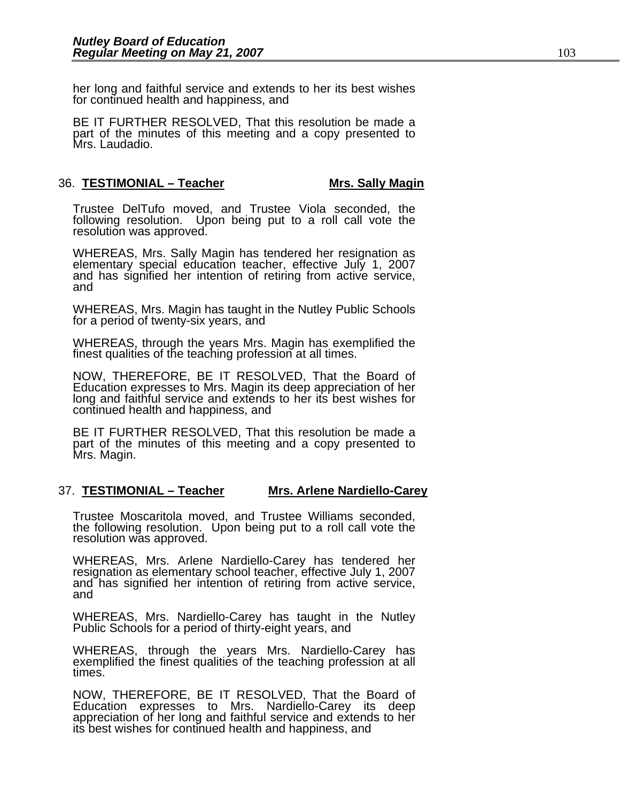her long and faithful service and extends to her its best wishes for continued health and happiness, and

BE IT FURTHER RESOLVED, That this resolution be made a part of the minutes of this meeting and a copy presented to Mrs. Laudadio.

### 36. **TESTIMONIAL – Teacher Mis. Sally Magin**

Trustee DelTufo moved, and Trustee Viola seconded, the following resolution. Upon being put to a roll call vote the resolution was approved.

WHEREAS, Mrs. Sally Magin has tendered her resignation as elementary special education teacher, effective July 1, 2007 and has signified her intention of retiring from active service, and

WHEREAS, Mrs. Magin has taught in the Nutley Public Schools for a period of twenty-six years, and

WHEREAS, through the years Mrs. Magin has exemplified the finest qualities of the teaching profession at all times.

NOW, THEREFORE, BE IT RESOLVED, That the Board of Education expresses to Mrs. Magin its deep appreciation of her long and faithful service and extends to her its best wishes for continued health and happiness, and

BE IT FURTHER RESOLVED, That this resolution be made a part of the minutes of this meeting and a copy presented to Mrs. Magin.

# 37. **TESTIMONIAL – Teacher Mrs. Arlene Nardiello-Carey**

Trustee Moscaritola moved, and Trustee Williams seconded, the following resolution. Upon being put to a roll call vote the resolution was approved.

WHEREAS, Mrs. Arlene Nardiello-Carey has tendered her resignation as elementary school teacher, effective July 1, 2007 and has signified her intention of retiring from active service, and

WHEREAS, Mrs. Nardiello-Carey has taught in the Nutley Public Schools for a period of thirty-eight years, and

WHEREAS, through the years Mrs. Nardiello-Carey has exemplified the finest qualities of the teaching profession at all times.

NOW, THEREFORE, BE IT RESOLVED, That the Board of Education expresses to Mrs. Nardiello-Carey its deep appreciation of her long and faithful service and extends to her its best wishes for continued health and happiness, and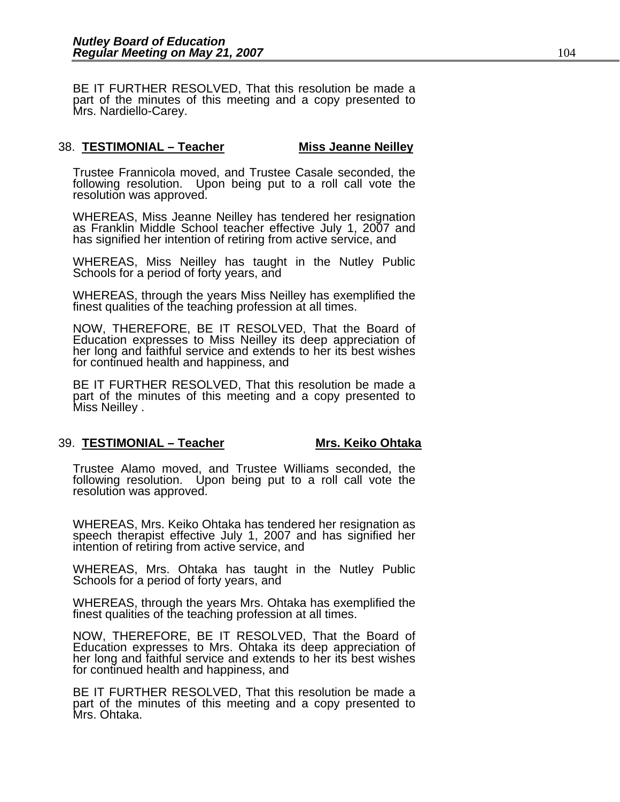BE IT FURTHER RESOLVED, That this resolution be made a part of the minutes of this meeting and a copy presented to Mrs. Nardiello-Carey.

# 38. **TESTIMONIAL – Teacher Miss Jeanne Neilley**

Trustee Frannicola moved, and Trustee Casale seconded, the following resolution. Upon being put to a roll call vote the resolution was approved.

WHEREAS, Miss Jeanne Neilley has tendered her resignation as Franklin Middle School teacher effective July 1, 2007 and has signified her intention of retiring from active service, and

WHEREAS, Miss Neilley has taught in the Nutley Public Schools for a period of forty years, and

WHEREAS, through the years Miss Neilley has exemplified the finest qualities of the teaching profession at all times.

NOW, THEREFORE, BE IT RESOLVED, That the Board of Education expresses to Miss Neilley its deep appreciation of her long and faithful service and extends to her its best wishes for continued health and happiness, and

BE IT FURTHER RESOLVED, That this resolution be made a part of the minutes of this meeting and a copy presented to Miss Neilley .

#### 39. <u>TESTIMONIAL – Teacher</u> Mrs. Keiko Ohtaka

Trustee Alamo moved, and Trustee Williams seconded, the following resolution. Upon being put to a roll call vote the resolution was approved.

WHEREAS, Mrs. Keiko Ohtaka has tendered her resignation as speech therapist effective July 1, 2007 and has signified her intention of retiring from active service, and

WHEREAS, Mrs. Ohtaka has taught in the Nutley Public Schools for a period of forty years, and

WHEREAS, through the years Mrs. Ohtaka has exemplified the finest qualities of the teaching profession at all times.

NOW, THEREFORE, BE IT RESOLVED, That the Board of Education expresses to Mrs. Ohtaka its deep appreciation of her long and faithful service and extends to her its best wishes for continued health and happiness, and

BE IT FURTHER RESOLVED, That this resolution be made a part of the minutes of this meeting and a copy presented to Mrs. Ohtaka.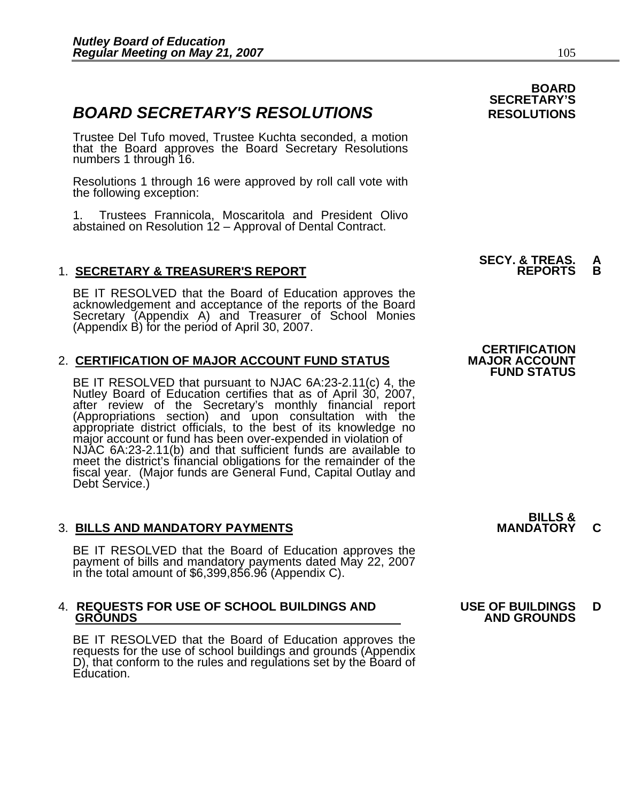# **BOARD SECRETARY'S RESOLUTIONS** RESOLUTIONS

Trustee Del Tufo moved, Trustee Kuchta seconded, a motion that the Board approves the Board Secretary Resolutions numbers 1 through 16.

Resolutions 1 through 16 were approved by roll call vote with the following exception:

1. Trustees Frannicola, Moscaritola and President Olivo abstained on Resolution 12 – Approval of Dental Contract.

# 1. **SECRETARY & TREASURER'S REPORT REPORTS B**

BE IT RESOLVED that the Board of Education approves the acknowledgement and acceptance of the reports of the Board Secretary (Appendix A) and Treasurer of School Monies (Appendix B) for the period of April 30, 2007.

# 2. CERTIFICATION OF MAJOR ACCOUNT FUND STATUS

BE IT RESOLVED that pursuant to NJAC 6A:23-2.11(c) 4, the<br>Nutley Board of Education certifies that as of April 30, 2007,<br>after review of the Secretary's monthly financial report<br>(Appropriations section) and upon consultati meet the district's financial obligations for the remainder of the fiscal year. (Major funds are General Fund, Capital Outlay and<br>Debt Service.)

# 3. BILLS AND MANDATORY PAYMENTS **MANDATORY C**

BE IT RESOLVED that the Board of Education approves the payment of bills and mandatory payments dated May 22, 2007 in the total amount of \$6,399,856.96 (Appendix C).

# 4. **REQUESTS FOR USE OF SCHOOL BUILDINGS AND USE OF BUILDINGS D**

BE IT RESOLVED that the Board of Education approves the requests for the use of school buildings and grounds (Appendix D), that conform to the rules and regulations set by the Board of Education.

 **BOARD SECRETARY'S** 

**SECY. & TREAS.<br>REPORTS** 

**CERTIFICATION<br>MAJOR ACCOUNT FUND STATUS** 

**BILLS &** 

# **GROUNDS AND GROUNDS**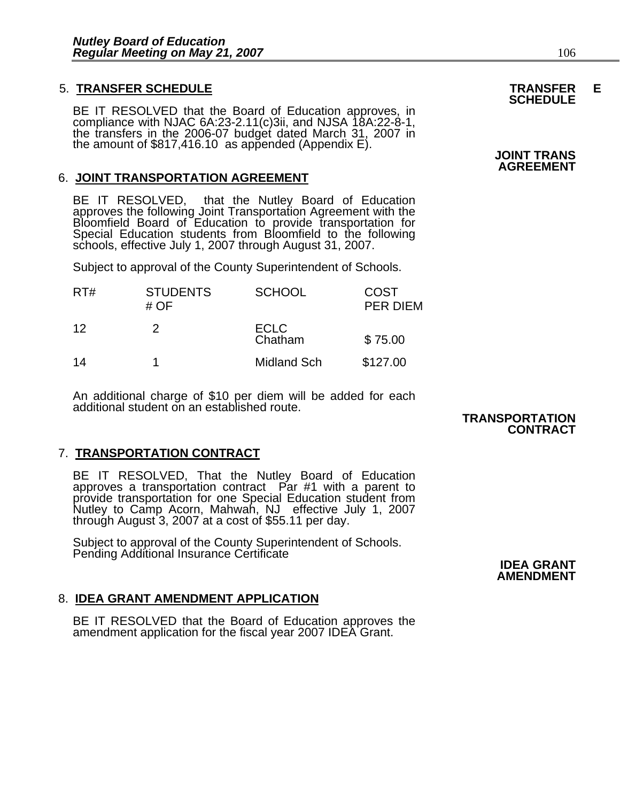# 5. **TRANSFER SCHEDULE TRANSFER E SCHEDULE**

BE IT RESOLVED that the Board of Education approves, in<br>compliance with NJAC 6A:23-2.11(c)3ii, and NJSA 18A:22-8-1,<br>the transfers in the 2006-07 budget dated March 31, 2007 in<br>the amount of \$817,416.10 as appended (Appendi

# 6. **JOINT TRANSPORTATION AGREEMENT**

BE IT RESOLVED, that the Nutley Board of Education<br>approves the following Joint Transportation Agreement with the<br>Bloomfield Board of Education to provide transportation for Special Education students from Bloomfield to the following<br>schools, effective July 1, 2007 through August 31, 2007.

Subject to approval of the County Superintendent of Schools.

| RT# | <b>STUDENTS</b><br># OF | <b>SCHOOL</b>          | <b>COST</b><br><b>PER DIEM</b> |
|-----|-------------------------|------------------------|--------------------------------|
| 12  | 2                       | <b>ECLC</b><br>Chatham | \$75.00                        |
| 14  |                         | <b>Midland Sch</b>     | \$127.00                       |

An additional charge of \$10 per diem will be added for each additional student on an established route.

# 7. **TRANSPORTATION CONTRACT**

BE IT RESOLVED, That the Nutley Board of Education approves a transportation contract Par #1 with a parent to provide transportation for one Special Education student from<br>Nutley to Camp Acorn, Mahwah, NJ effective July 1, 2007<br>through August 3, 2007 at a cost of \$55.11 per day.

Subject to approval of the County Superintendent of Schools.<br>Pending Additional Insurance Certificate **IDEA GRANT** 

# 8. **IDEA GRANT AMENDMENT APPLICATION**

BE IT RESOLVED that the Board of Education approves the amendment application for the fiscal year 2007 IDEA Grant.

# **AGREEMENT**

# **TRANSPORTATION CONTRACT**

**AMENDMENT**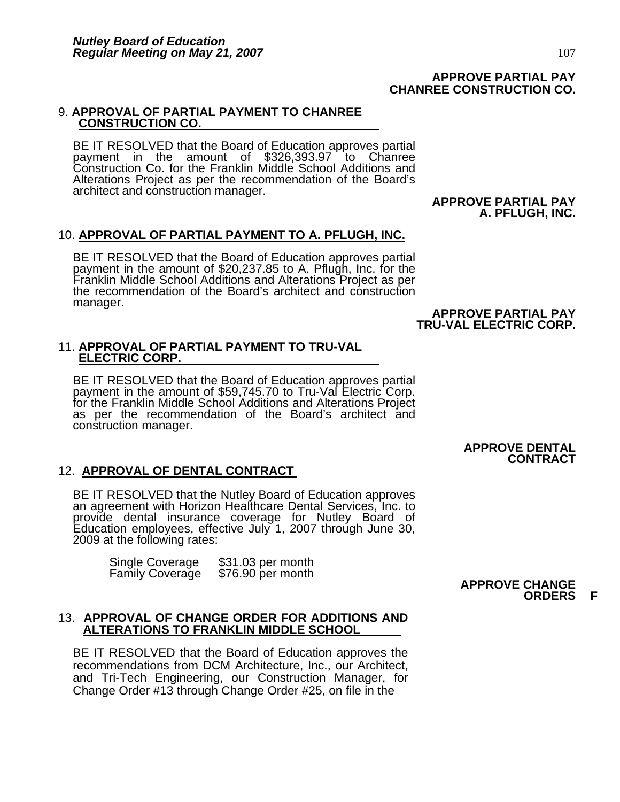# **APPROVE PARTIAL PAY CHANREE CONSTRUCTION CO.**

# 9. **APPROVAL OF PARTIAL PAYMENT TO CHANREE CONSTRUCTION CO.**

BE IT RESOLVED that the Board of Education approves partial payment in the amount of \$326,393.97 to Chanree Construction Co. for the Franklin Middle School Additions and Alterations Project as per the recommendation of the Board's architect and construction manager.

#### **APPROVE PARTIAL PAY A. PFLUGH, INC.**

### 10. **APPROVAL OF PARTIAL PAYMENT TO A. PFLUGH, INC.**

BE IT RESOLVED that the Board of Education approves partial<br>payment in the amount of \$20,237.85 to A. Pflugh, Inc. for the<br>Franklin Middle School Additions and Alterations Project as per<br>the recommendation of the Board's a manager.

#### **APPROVE PARTIAL PAY TRU-VAL ELECTRIC CORP.**

# 11. **APPROVAL OF PARTIAL PAYMENT TO TRU-VAL ELECTRIC CORP.**

BE IT RESOLVED that the Board of Education approves partial payment in the amount of \$59,745.70 to Tru-Val Electric Corp. for the Franklin Middle School Additions and Alterations Project<br>as per the recommendation of the Board's architect and construction manager.

### **APPROVE DENTAL CONTRACT**

# 12. **APPROVAL OF DENTAL CONTRACT**

BE IT RESOLVED that the Nutley Board of Education approves an agreement with Horizon Healthcare Dental Services, Inc. to provide dental insurance coverage for Nutley Board of Education employees, effective July 1, 2007 through June 30, 2009 at the following rates:

> Single Coverage \$31.03 per month<br>Family Coverage \$76.90 per month Family Coverage

#### 13. **APPROVAL OF CHANGE ORDER FOR ADDITIONS AND ALTERATIONS TO FRANKLIN MIDDLE SCHOOL**

BE IT RESOLVED that the Board of Education approves the recommendations from DCM Architecture, Inc., our Architect, and Tri-Tech Engineering, our Construction Manager, for Change Order #13 through Change Order #25, on file in the

#### **APPROVE CHANGE ORDERS F**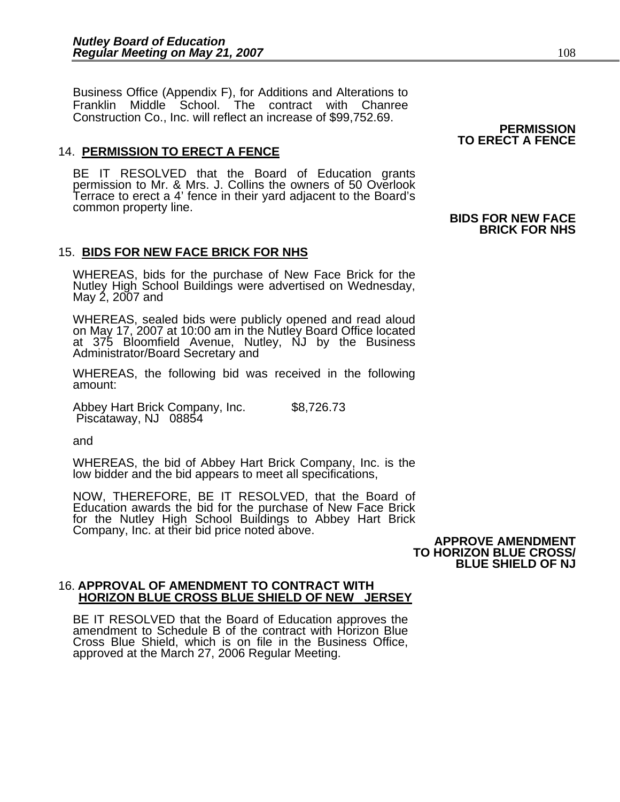Business Office (Appendix F), for Additions and Alterations to Franklin Middle School. The contract with Chanree Construction Co., Inc. will reflect an increase of \$99,752.69.

# 14. **PERMISSION TO ERECT A FENCE**

BE IT RESOLVED that the Board of Education grants permission to Mr. & Mrs. J. Collins the owners of 50 Overlook Terrace to erect a 4' fence in their yard adjacent to the Board's

# 15. **BIDS FOR NEW FACE BRICK FOR NHS**

WHEREAS, bids for the purchase of New Face Brick for the Nutley High School Buildings were advertised on Wednesday, May 2, 2007 and

WHEREAS, sealed bids were publicly opened and read aloud on May 17, 2007 at 10:00 am in the Nutley Board Office located at 375 Bloomfield Avenue, Nutley, NJ by the Business Administrator/Board Secretary and

WHEREAS, the following bid was received in the following amount:

Abbey Hart Brick Company, Inc. \$8,726.73<br>Piscataway, NJ 08854

and

WHEREAS, the bid of Abbey Hart Brick Company, Inc. is the low bidder and the bid appears to meet all specifications,

NOW, THEREFORE, BE IT RESOLVED, that the Board of Education awards the bid for the purchase of New Face Brick for the Nutley High School Buildings to Abbey Hart Brick Company, Inc. at their bid price noted above. **APPROVE AMENDMENT TO HORIZON BLUE CROSS/** 

 **BLUE SHIELD OF NJ** 

#### 16. **APPROVAL OF AMENDMENT TO CONTRACT WITH HORIZON BLUE CROSS BLUE SHIELD OF NEW JERSEY**

BE IT RESOLVED that the Board of Education approves the amendment to Schedule B of the contract with Horizon Blue Cross Blue Shield, which is on file in the Business Office, approved at the March 27, 2006 Regular Meeting.

**PERMISSION TO ERECT A FENCE** 

### **BIDS FOR NEW FACE BRICK FOR NHS**